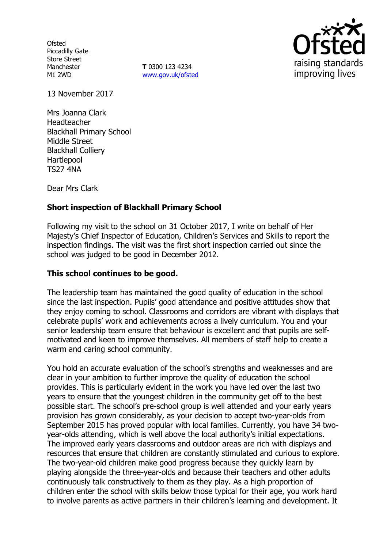**Ofsted** Piccadilly Gate Store Street Manchester M1 2WD

**T** 0300 123 4234 www.gov.uk/ofsted



13 November 2017

Mrs Joanna Clark Headteacher Blackhall Primary School Middle Street Blackhall Colliery Hartlepool TS27 4NA

Dear Mrs Clark

# **Short inspection of Blackhall Primary School**

Following my visit to the school on 31 October 2017, I write on behalf of Her Majesty's Chief Inspector of Education, Children's Services and Skills to report the inspection findings. The visit was the first short inspection carried out since the school was judged to be good in December 2012.

#### **This school continues to be good.**

The leadership team has maintained the good quality of education in the school since the last inspection. Pupils' good attendance and positive attitudes show that they enjoy coming to school. Classrooms and corridors are vibrant with displays that celebrate pupils' work and achievements across a lively curriculum. You and your senior leadership team ensure that behaviour is excellent and that pupils are selfmotivated and keen to improve themselves. All members of staff help to create a warm and caring school community.

You hold an accurate evaluation of the school's strengths and weaknesses and are clear in your ambition to further improve the quality of education the school provides. This is particularly evident in the work you have led over the last two years to ensure that the youngest children in the community get off to the best possible start. The school's pre-school group is well attended and your early years provision has grown considerably, as your decision to accept two-year-olds from September 2015 has proved popular with local families. Currently, you have 34 twoyear-olds attending, which is well above the local authority's initial expectations. The improved early years classrooms and outdoor areas are rich with displays and resources that ensure that children are constantly stimulated and curious to explore. The two-year-old children make good progress because they quickly learn by playing alongside the three-year-olds and because their teachers and other adults continuously talk constructively to them as they play. As a high proportion of children enter the school with skills below those typical for their age, you work hard to involve parents as active partners in their children's learning and development. It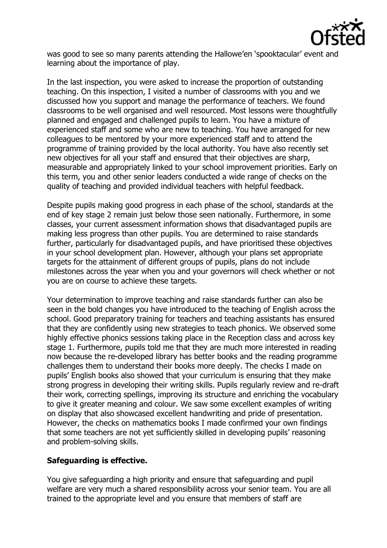

was good to see so many parents attending the Hallowe'en 'spooktacular' event and learning about the importance of play.

In the last inspection, you were asked to increase the proportion of outstanding teaching. On this inspection, I visited a number of classrooms with you and we discussed how you support and manage the performance of teachers. We found classrooms to be well organised and well resourced. Most lessons were thoughtfully planned and engaged and challenged pupils to learn. You have a mixture of experienced staff and some who are new to teaching. You have arranged for new colleagues to be mentored by your more experienced staff and to attend the programme of training provided by the local authority. You have also recently set new objectives for all your staff and ensured that their objectives are sharp, measurable and appropriately linked to your school improvement priorities. Early on this term, you and other senior leaders conducted a wide range of checks on the quality of teaching and provided individual teachers with helpful feedback.

Despite pupils making good progress in each phase of the school, standards at the end of key stage 2 remain just below those seen nationally. Furthermore, in some classes, your current assessment information shows that disadvantaged pupils are making less progress than other pupils. You are determined to raise standards further, particularly for disadvantaged pupils, and have prioritised these objectives in your school development plan. However, although your plans set appropriate targets for the attainment of different groups of pupils, plans do not include milestones across the year when you and your governors will check whether or not you are on course to achieve these targets.

Your determination to improve teaching and raise standards further can also be seen in the bold changes you have introduced to the teaching of English across the school. Good preparatory training for teachers and teaching assistants has ensured that they are confidently using new strategies to teach phonics. We observed some highly effective phonics sessions taking place in the Reception class and across key stage 1. Furthermore, pupils told me that they are much more interested in reading now because the re-developed library has better books and the reading programme challenges them to understand their books more deeply. The checks I made on pupils' English books also showed that your curriculum is ensuring that they make strong progress in developing their writing skills. Pupils regularly review and re-draft their work, correcting spellings, improving its structure and enriching the vocabulary to give it greater meaning and colour. We saw some excellent examples of writing on display that also showcased excellent handwriting and pride of presentation. However, the checks on mathematics books I made confirmed your own findings that some teachers are not yet sufficiently skilled in developing pupils' reasoning and problem-solving skills.

## **Safeguarding is effective.**

You give safeguarding a high priority and ensure that safeguarding and pupil welfare are very much a shared responsibility across your senior team. You are all trained to the appropriate level and you ensure that members of staff are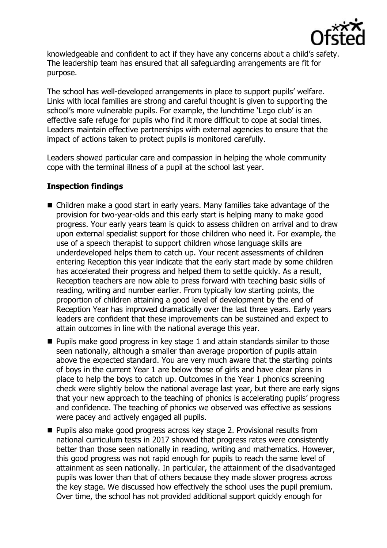

knowledgeable and confident to act if they have any concerns about a child's safety. The leadership team has ensured that all safeguarding arrangements are fit for purpose.

The school has well-developed arrangements in place to support pupils' welfare. Links with local families are strong and careful thought is given to supporting the school's more vulnerable pupils. For example, the lunchtime 'Lego club' is an effective safe refuge for pupils who find it more difficult to cope at social times. Leaders maintain effective partnerships with external agencies to ensure that the impact of actions taken to protect pupils is monitored carefully.

Leaders showed particular care and compassion in helping the whole community cope with the terminal illness of a pupil at the school last year.

## **Inspection findings**

- Children make a good start in early years. Many families take advantage of the provision for two-year-olds and this early start is helping many to make good progress. Your early years team is quick to assess children on arrival and to draw upon external specialist support for those children who need it. For example, the use of a speech therapist to support children whose language skills are underdeveloped helps them to catch up. Your recent assessments of children entering Reception this year indicate that the early start made by some children has accelerated their progress and helped them to settle quickly. As a result, Reception teachers are now able to press forward with teaching basic skills of reading, writing and number earlier. From typically low starting points, the proportion of children attaining a good level of development by the end of Reception Year has improved dramatically over the last three years. Early years leaders are confident that these improvements can be sustained and expect to attain outcomes in line with the national average this year.
- **Pupils make good progress in key stage 1 and attain standards similar to those** seen nationally, although a smaller than average proportion of pupils attain above the expected standard. You are very much aware that the starting points of boys in the current Year 1 are below those of girls and have clear plans in place to help the boys to catch up. Outcomes in the Year 1 phonics screening check were slightly below the national average last year, but there are early signs that your new approach to the teaching of phonics is accelerating pupils' progress and confidence. The teaching of phonics we observed was effective as sessions were pacey and actively engaged all pupils.
- **Pupils also make good progress across key stage 2. Provisional results from** national curriculum tests in 2017 showed that progress rates were consistently better than those seen nationally in reading, writing and mathematics. However, this good progress was not rapid enough for pupils to reach the same level of attainment as seen nationally. In particular, the attainment of the disadvantaged pupils was lower than that of others because they made slower progress across the key stage. We discussed how effectively the school uses the pupil premium. Over time, the school has not provided additional support quickly enough for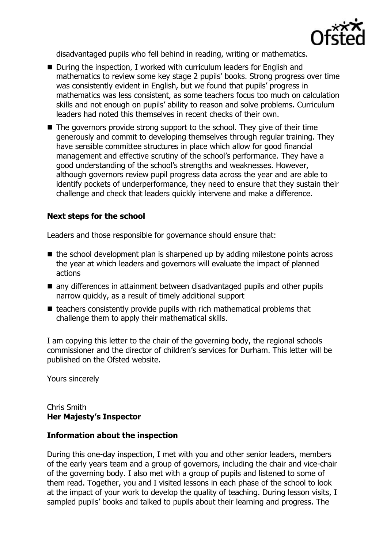

disadvantaged pupils who fell behind in reading, writing or mathematics.

- During the inspection, I worked with curriculum leaders for English and mathematics to review some key stage 2 pupils' books. Strong progress over time was consistently evident in English, but we found that pupils' progress in mathematics was less consistent, as some teachers focus too much on calculation skills and not enough on pupils' ability to reason and solve problems. Curriculum leaders had noted this themselves in recent checks of their own.
- The governors provide strong support to the school. They give of their time generously and commit to developing themselves through regular training. They have sensible committee structures in place which allow for good financial management and effective scrutiny of the school's performance. They have a good understanding of the school's strengths and weaknesses. However, although governors review pupil progress data across the year and are able to identify pockets of underperformance, they need to ensure that they sustain their challenge and check that leaders quickly intervene and make a difference.

#### **Next steps for the school**

Leaders and those responsible for governance should ensure that:

- $\blacksquare$  the school development plan is sharpened up by adding milestone points across the year at which leaders and governors will evaluate the impact of planned actions
- any differences in attainment between disadvantaged pupils and other pupils narrow quickly, as a result of timely additional support
- $\blacksquare$  teachers consistently provide pupils with rich mathematical problems that challenge them to apply their mathematical skills.

I am copying this letter to the chair of the governing body, the regional schools commissioner and the director of children's services for Durham. This letter will be published on the Ofsted website.

Yours sincerely

Chris Smith **Her Majesty's Inspector**

#### **Information about the inspection**

During this one-day inspection, I met with you and other senior leaders, members of the early years team and a group of governors, including the chair and vice-chair of the governing body. I also met with a group of pupils and listened to some of them read. Together, you and I visited lessons in each phase of the school to look at the impact of your work to develop the quality of teaching. During lesson visits, I sampled pupils' books and talked to pupils about their learning and progress. The